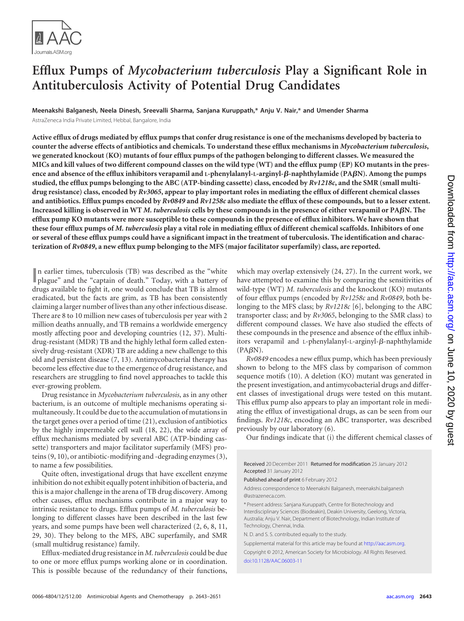

# **Efflux Pumps of** *Mycobacterium tuberculosis* **Play a Significant Role in Antituberculosis Activity of Potential Drug Candidates**

**Meenakshi Balganesh, Neela Dinesh, Sreevalli Sharma, Sanjana Kuruppath,\* Anju V. Nair,\* and Umender Sharma** AstraZeneca India Private Limited, Hebbal, Bangalore, India

**Active efflux of drugs mediated by efflux pumps that confer drug resistance is one of the mechanisms developed by bacteria to counter the adverse effects of antibiotics and chemicals. To understand these efflux mechanisms in** *Mycobacterium tuberculosis***, we generated knockout (KO) mutants of four efflux pumps of the pathogen belonging to different classes. We measured the MICs and kill values of two different compound classes on the wild type (WT) and the efflux pump (EP) KO mutants in the presence and absence of the efflux inhibitors verapamil and L-phenylalanyl-L-arginyl--naphthylamide (PAN). Among the pumps studied, the efflux pumps belonging to the ABC (ATP-binding cassette) class, encoded by** *Rv1218c***, and the SMR (small multidrug resistance) class, encoded by** *Rv3065***, appear to play important roles in mediating the efflux of different chemical classes and antibiotics. Efflux pumps encoded by** *Rv0849* **and** *Rv1258c* **also mediate the efflux of these compounds, but to a lesser extent. Increased killing is observed in WT** *M. tuberculosis* **cells by these compounds in the presence of either verapamil or PAN. The efflux pump KO mutants were more susceptible to these compounds in the presence of efflux inhibitors. We have shown that these four efflux pumps of** *M. tuberculosis* **play a vital role in mediating efflux of different chemical scaffolds. Inhibitors of one or several of these efflux pumps could have a significant impact in the treatment of tuberculosis. The identification and characterization of** *Rv0849***, a new efflux pump belonging to the MFS (major facilitator superfamily) class, are reported.**

In earlier times, tuberculosis (TB) was described as the "white plague" and the "captain of death." Today, with a battery of n earlier times, tuberculosis (TB) was described as the "white drugs available to fight it, one would conclude that TB is almost eradicated, but the facts are grim, as TB has been consistently claiming a larger number of lives than any other infectious disease. There are 8 to 10 million new cases of tuberculosis per year with 2 million deaths annually, and TB remains a worldwide emergency mostly affecting poor and developing countries [\(12,](#page-7-0) [37\)](#page-8-0). Multidrug-resistant (MDR) TB and the highly lethal form called extensively drug-resistant (XDR) TB are adding a new challenge to this old and persistent disease [\(7,](#page-7-1) [13\)](#page-7-2). Antimycobacterial therapy has become less effective due to the emergence of drug resistance, and researchers are struggling to find novel approaches to tackle this ever-growing problem.

Drug resistance in *Mycobacterium tuberculosis*, as in any other bacterium, is an outcome of multiple mechanisms operating simultaneously. It could be due to the accumulation of mutations in the target genes over a period of time [\(21\)](#page-7-3), exclusion of antibiotics by the highly impermeable cell wall [\(18,](#page-7-4) [22\)](#page-7-5), the wide array of efflux mechanisms mediated by several ABC (ATP-binding cassette) transporters and major facilitator superfamily (MFS) proteins [\(9,](#page-7-6) [10\)](#page-7-7), or antibiotic-modifying and -degrading enzymes [\(3\)](#page-7-8), to name a few possibilities.

Quite often, investigational drugs that have excellent enzyme inhibition do not exhibit equally potent inhibition of bacteria, and this is a major challenge in the arena of TB drug discovery. Among other causes, efflux mechanisms contribute in a major way to intrinsic resistance to drugs. Efflux pumps of *M. tuberculosis* belonging to different classes have been described in the last few years, and some pumps have been well characterized [\(2,](#page-7-9) [6,](#page-7-10) [8,](#page-7-11) [11,](#page-7-12) [29,](#page-7-13) [30\)](#page-7-14). They belong to the MFS, ABC superfamily, and SMR (small multidrug resistance) family.

Efflux-mediated drug resistance in *M. tuberculosis* could be due to one or more efflux pumps working alone or in coordination. This is possible because of the redundancy of their functions, which may overlap extensively [\(24,](#page-7-15) [27\)](#page-7-16). In the current work, we have attempted to examine this by comparing the sensitivities of wild-type (WT) *M. tuberculosis* and the knockout (KO) mutants of four efflux pumps (encoded by *Rv1258c* and *Rv0849*, both belonging to the MFS class; by *Rv1218c* [\[6\]](#page-7-10), belonging to the ABC transporter class; and by *Rv3065*, belonging to the SMR class) to different compound classes. We have also studied the effects of these compounds in the presence and absence of the efflux inhibitors verapamil and L-phenylalanyl-L-arginyl- $\beta$ -naphthylamide  $(PA\beta N)$ .

*Rv0849* encodes a new efflux pump, which has been previously shown to belong to the MFS class by comparison of common sequence motifs [\(10\)](#page-7-7). A deletion (KO) mutant was generated in the present investigation, and antimycobacterial drugs and different classes of investigational drugs were tested on this mutant. This efflux pump also appears to play an important role in mediating the efflux of investigational drugs, as can be seen from our findings. *Rv1218c*, encoding an ABC transporter, was described previously by our laboratory [\(6\)](#page-7-10).

Our findings indicate that (i) the different chemical classes of

Published ahead of print 6 February 2012

Address correspondence to Meenakshi Balganesh, meenakshi.balganesh @astrazeneca.com.

\* Present address: Sanjana Kuruppath, Centre for Biotechnology and Interdisciplinary Sciences (Biodeakin), Deakin University, Geelong, Victoria, Australia; Anju V. Nair, Department of Biotechnology, Indian Institute of Technology, Chennai, India.

N. D. and S. S. contributed equally to the study.

Supplemental material for this article may be found at http://aac.asm.org. Copyright © 2012, American Society for Microbiology. All Rights Reserved. [doi:10.1128/AAC.06003-11](http://dx.doi.org/10.1128/AAC.06003-11)

Received 20 December 2011 Returned for modification 25 January 2012 Accepted 31 January 2012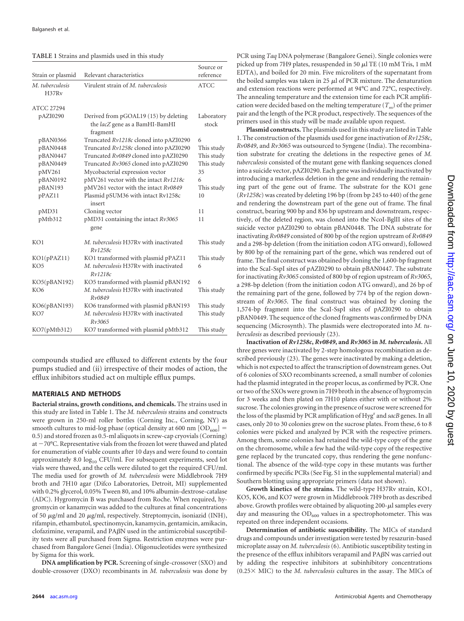<span id="page-1-0"></span>**TABLE 1** Strains and plasmids used in this study

| Strain or plasmid        | Relevant characteristics                                                            | Source or<br>reference |
|--------------------------|-------------------------------------------------------------------------------------|------------------------|
| M. tuberculosis<br>H37Rv | Virulent strain of M. tuberculosis                                                  | <b>ATCC</b>            |
| <b>ATCC 27294</b>        |                                                                                     |                        |
| pAZI0290                 | Derived from pGOAL19 (15) by deleting<br>the lacZ gene as a BamHI-BamHI<br>fragment | Laboratory<br>stock    |
| pBAN0366                 | Truncated Rv1218c cloned into pAZI0290                                              | 6                      |
| pBAN0448                 | Truncated Rv1258c cloned into pAZI0290                                              | This study             |
| pBAN0447                 | Truncated Rv0849 cloned into pAZI0290                                               | This study             |
| pBAN0449                 | Truncated Rv3065 cloned into pAZI0290                                               | This study             |
| pMV261                   | Mycobacterial expression vector                                                     | 35                     |
| pBAN0192                 | pMV261 vector with the intact Rv1218c                                               | 6                      |
| pBAN193                  | pMV261 vector with the intact Rv0849                                                | This study             |
| pPAZ11                   | Plasmid pSUM36 with intact Rv1258c<br>insert                                        | 10                     |
| pMD31                    | Cloning vector                                                                      | 11                     |
| pMtb312                  | $pMD31$ containing the intact $Rv3065$<br>gene                                      | 11                     |
| KO1                      | M. tuberculosis H37Ry with inactivated<br>Rv1258c                                   | This study             |
| KO1(pPAZ11)              | KO1 transformed with plasmid pPAZ11                                                 | This study             |
| KO <sub>5</sub>          | M. tuberculosis H37Rv with inactivated<br>Rv1218c                                   | 6                      |
| KO5(pBAN192)             | KO5 transformed with plasmid pBAN192                                                | 6                      |
| KO <sub>6</sub>          | M. tuberculosis H37Rv with inactivated<br>Rv0849                                    | This study             |
| KO6(pBAN193)             | KO6 transformed with plasmid pBAN193                                                | This study             |
| KO7                      | M. tuberculosis H37Ry with inactivated<br>Rv3065                                    | This study             |
| KO7(pMtb312)             | KO7 transformed with plasmid pMtb312                                                | This study             |

compounds studied are effluxed to different extents by the four pumps studied and (ii) irrespective of their modes of action, the efflux inhibitors studied act on multiple efflux pumps.

#### **MATERIALS AND METHODS**

**Bacterial strains, growth conditions, and chemicals.** The strains used in this study are listed in [Table 1.](#page-1-0) The *M. tuberculosis* strains and constructs were grown in 250-ml roller bottles (Corning Inc., Corning, NY) as smooth cultures to mid-log phase (optical density at 600 nm  $[OD<sub>600</sub>]$  = 0.5) and stored frozen as 0.5-ml aliquots in screw-cap cryovials (Corning) at  $-70$ °C. Representative vials from the frozen lot were thawed and plated for enumeration of viable counts after 10 days and were found to contain approximately 8.0  $log_{10}$  CFU/ml. For subsequent experiments, seed lot vials were thawed, and the cells were diluted to get the required CFU/ml. The media used for growth of *M. tuberculosis* were Middlebrook 7H9 broth and 7H10 agar (Difco Laboratories, Detroit, MI) supplemented with 0.2% glycerol, 0.05% Tween 80, and 10% albumin-dextrose-catalase (ADC). Hygromycin B was purchased from Roche. When required, hygromycin or kanamycin was added to the cultures at final concentrations of 50  $\mu$ g/ml and 20  $\mu$ g/ml, respectively. Streptomycin, isoniazid (INH), rifampin, ethambutol, spectinomycin, kanamycin, gentamicin, amikacin,  $c$ lofazimine, verapamil, and PA $\beta$ N used in the antimicrobial susceptibility tests were all purchased from Sigma. Restriction enzymes were purchased from Bangalore Genei (India). Oligonucleotides were synthesized by Sigma for this work.

**DNA amplification by PCR.** Screening of single-crossover (SXO) and double-crossover (DXO) recombinants in *M. tuberculosis* was done by

PCR using *Taq* DNA polymerase (Bangalore Genei). Single colonies were picked up from 7H9 plates, resuspended in 50  $\mu$ l TE (10 mM Tris, 1 mM EDTA), and boiled for 20 min. Five microliters of the supernatant from the boiled samples was taken in 25  $\mu$ l of PCR mixture. The denaturation and extension reactions were performed at 94°C and 72°C, respectively. The annealing temperature and the extension time for each PCR amplification were decided based on the melting temperature  $(T_m)$  of the primer pair and the length of the PCR product, respectively. The sequences of the primers used in this study will be made available upon request.

**Plasmid constructs.** The plasmids used in this study are listed in [Table](#page-1-0) [1.](#page-1-0) The construction of the plasmids used for gene inactivation of *Rv1258c*, *Rv0849*, and *Rv3065* was outsourced to Syngene (India). The recombination substrate for creating the deletions in the respective genes of *M. tuberculosis* consisted of the mutant gene with flanking sequences cloned into a suicide vector, pAZI0290. Each gene was individually inactivated by introducing a markerless deletion in the gene and rendering the remaining part of the gene out of frame. The substrate for the KO1 gene (*Rv1258c*) was created by deleting 196 bp (from bp 245 to 440) of the gene and rendering the downstream part of the gene out of frame. The final construct, bearing 900 bp and 836 bp upstream and downstream, respectively, of the deleted region, was cloned into the NcoI-BglII sites of the suicide vector pAZI0290 to obtain pBAN0448. The DNA substrate for inactivating *Rv0849* consisted of 800 bp of the region upstream of *Rv0849* and a 298-bp deletion (from the initiation codon ATG onward), followed by 800 bp of the remaining part of the gene, which was rendered out of frame. The final construct was obtained by cloning the 1,600-bp fragment into the ScaI-SspI sites of pAZI0290 to obtain pBAN0447. The substrate for inactivating *Rv3065* consisted of 800 bp of region upstream of *Rv3065*, a 298-bp deletion (from the initiation codon ATG onward), and 26 bp of the remaining part of the gene, followed by 774 bp of the region downstream of *Rv3065*. The final construct was obtained by cloning the 1,574-bp fragment into the ScaI-SspI sites of pAZI0290 to obtain pBAN0449. The sequence of the cloned fragments was confirmed by DNA sequencing (Microsynth). The plasmids were electroporated into *M. tuberculosis* as described previously [\(23\)](#page-7-17).

**Inactivation of** *Rv1258c***,** *Rv0849***, and** *Rv3065* **in** *M. tuberculosis***.** All three genes were inactivated by 2-step homologous recombination as described previously [\(23\)](#page-7-17). The genes were inactivated by making a deletion, which is not expected to affect the transcription of downstream genes. Out of 6 colonies of SXO recombinants screened, a small number of colonies had the plasmid integrated in the proper locus, as confirmed by PCR. One or two of the SXOs were grown in 7H9 broth in the absence of hygromycin for 3 weeks and then plated on 7H10 plates either with or without 2% sucrose. The colonies growing in the presence of sucrose were screened for the loss of the plasmid by PCR amplification of Hyg<sup>r</sup> and sacB genes. In all cases, only 20 to 30 colonies grew on the sucrose plates. From these, 6 to 8 colonies were picked and analyzed by PCR with the respective primers. Among them, some colonies had retained the wild-type copy of the gene on the chromosome, while a few had the wild-type copy of the respective gene replaced by the truncated copy, thus rendering the gene nonfunctional. The absence of the wild-type copy in these mutants was further confirmed by specific PCRs (See Fig. S1 in the supplemental material) and Southern blotting using appropriate primers (data not shown).

**Growth kinetics of the strains.** The wild-type H37Rv strain, KO1, KO5, KO6, and KO7 were grown in Middlebrook 7H9 broth as described above. Growth profiles were obtained by aliquoting 200- $\mu$ l samples every day and measuring the  $OD_{600}$  values in a spectrophotometer. This was repeated on three independent occasions.

**Determination of antibiotic susceptibility.** The MICs of standard drugs and compounds under investigation were tested by resazurin-based microplate assay on *M. tuberculosis*[\(6\)](#page-7-10). Antibiotic susceptibility testing in the presence of the efflux inhibitors verapamil and PABN was carried out by adding the respective inhibitors at subinhibitory concentrations  $(0.25 \times$  MIC) to the *M. tuberculosis* cultures in the assay. The MICs of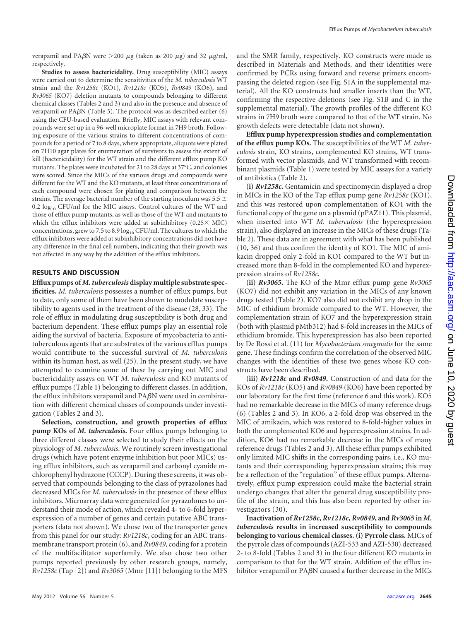verapamil and PA $\beta$ N were  $>$ 200  $\mu$ g (taken as 200  $\mu$ g) and 32  $\mu$ g/ml, respectively.

**Studies to assess bactericidality.** Drug susceptibility (MIC) assays were carried out to determine the sensitivities of the *M. tuberculosis* WT strain and the *Rv1258c* (KO1), *Rv1218c* (KO5), *Rv0849* (KO6), and *Rv3065* (KO7) deletion mutants to compounds belonging to different chemical classes [\(Tables 2](#page-2-0) and 3) and also in the presence and absence of verapamil or PA $\beta$ N [\(Table 3\)](#page-4-0). The protocol was as described earlier [\(6\)](#page-7-10) using the CFU-based evaluation. Briefly, MIC assays with relevant compounds were set up in a 96-well microplate format in 7H9 broth. Following exposure of the various strains to different concentrations of compounds for a period of 7 to 8 days, where appropriate, aliquots were plated on 7H10 agar plates for enumeration of survivors to assess the extent of kill (bactericidality) for the WT strain and the different efflux pump KO mutants. The plates were incubated for 21 to 28 days at 37°C, and colonies were scored. Since the MICs of the various drugs and compounds were different for the WT and the KO mutants, at least three concentrations of each compound were chosen for plating and comparison between the strains. The average bacterial number of the starting inoculum was 5.5  $\pm$ 0.2  $log_{10}$  CFU/ml for the MIC assays. Control cultures of the WT and those of efflux pump mutants, as well as those of the WT and mutants to which the efflux inhibitors were added at subinhibitory  $(0.25 \times$  MIC) concentrations, grew to 7.5 to 8.9  $log_{10}$  CFU/ml. The cultures to which the efflux inhibitors were added at subinhibitory concentrations did not have any difference in the final cell numbers, indicating that their growth was not affected in any way by the addition of the efflux inhibitors.

#### **RESULTS AND DISCUSSION**

**Efflux pumps of** *M. tuberculosis* **display multiple substrate specificities.** *M. tuberculosis* possesses a number of efflux pumps, but to date, only some of them have been shown to modulate susceptibility to agents used in the treatment of the disease [\(28,](#page-7-19) [33\)](#page-8-2). The role of efflux in modulating drug susceptibility is both drug and bacterium dependent. These efflux pumps play an essential role aiding the survival of bacteria. Exposure of mycobacteria to antituberculous agents that are substrates of the various efflux pumps would contribute to the successful survival of *M. tuberculosis* within its human host, as well [\(25\)](#page-7-20). In the present study, we have attempted to examine some of these by carrying out MIC and bactericidality assays on WT *M. tuberculosis* and KO mutants of efflux pumps [\(Table 1\)](#page-1-0) belonging to different classes. In addition, the efflux inhibitors verapamil and  $PABN$  were used in combination with different chemical classes of compounds under investigation [\(Tables 2](#page-2-0) and [3\)](#page-4-0).

**Selection, construction, and growth properties of efflux pump KOs of** *M. tuberculosis***.** Four efflux pumps belonging to three different classes were selected to study their effects on the physiology of *M. tuberculosis*. We routinely screen investigational drugs (which have potent enzyme inhibition but poor MICs) using efflux inhibitors, such as verapamil and carbonyl cyanide *m*chlorophenyl hydrazone (CCCP). During these screens, it was observed that compounds belonging to the class of pyrazolones had decreased MICs for *M. tuberculosis* in the presence of these efflux inhibitors. Microarray data were generated for pyrazolones to understand their mode of action, which revealed 4- to 6-fold hyperexpression of a number of genes and certain putative ABC transporters (data not shown). We chose two of the transporter genes from this panel for our study: *Rv1218c*, coding for an ABC transmembrane transport protein [\(6\)](#page-7-10), and *Rv0849*, coding for a protein of the multifacilitator superfamily. We also chose two other pumps reported previously by other research groups, namely, *Rv1258c* (Tap [\[2\]](#page-7-9)) and *Rv3065* (Mmr [\[11\]](#page-7-12)) belonging to the MFS

and the SMR family, respectively. KO constructs were made as described in Materials and Methods, and their identities were confirmed by PCRs using forward and reverse primers encompassing the deleted region (see Fig. S1A in the supplemental material). All the KO constructs had smaller inserts than the WT, confirming the respective deletions (see Fig. S1B and C in the supplemental material). The growth profiles of the different KO strains in 7H9 broth were compared to that of the WT strain. No growth defects were detectable (data not shown).

**Efflux pump hyperexpression studies and complementation of the efflux pump KOs.** The susceptibilities of the WT *M. tuberculosis* strain, KO strains, complemented KO strains, WT transformed with vector plasmids, and WT transformed with recombinant plasmids [\(Table 1\)](#page-1-0) were tested by MIC assays for a variety of antibiotics [\(Table 2\)](#page-2-0).

**(i)** *Rv1258c***.** Gentamicin and spectinomycin displayed a drop in MICs in the KO of the Tap efflux pump gene *Rv1258c* (KO1), and this was restored upon complementation of KO1 with the functional copy of the gene on a plasmid (pPAZ11). This plasmid, when inserted into WT *M. tuberculosis* (the hyperexpression strain), also displayed an increase in the MICs of these drugs [\(Ta](#page-2-0)[ble 2\)](#page-2-0). These data are in agreement with what has been published [\(10,](#page-7-7) [36\)](#page-8-3) and thus confirm the identity of KO1. The MIC of amikacin dropped only 2-fold in KO1 compared to the WT but increased more than 8-fold in the complemented KO and hyperexpression strains of *Rv1258c.*

**(ii)** *Rv3065***.** The KO of the Mmr efflux pump gene *Rv3065* (KO7) did not exhibit any variation in the MICs of any known drugs tested [\(Table 2\)](#page-2-0). KO7 also did not exhibit any drop in the MIC of ethidium bromide compared to the WT. However, the complementation strain of KO7 and the hyperexpression strain (both with plasmid pMtb312) had 8-fold increases in the MICs of ethidium bromide. This hyperexpression has also been reported by De Rossi et al. [\(11\)](#page-7-12) for *Mycobacterium smegmatis* for the same gene. These findings confirm the correlation of the observed MIC changes with the identities of these two genes whose KO constructs have been described.

**(iii)** *Rv1218c* **and** *Rv0849***.** Construction of and data for the KOs of *Rv1218c* (KO5) and *Rv0849* (KO6) have been reported by our laboratory for the first time (reference [6](#page-7-10) and this work). KO5 had no remarkable decrease in the MICs of many reference drugs [\(6\)](#page-7-10) [\(Tables 2](#page-2-0) and [3\)](#page-4-0). In KO6, a 2-fold drop was observed in the MIC of amikacin, which was restored to 8-fold-higher values in both the complemented KO6 and hyperexpression strains. In addition, KO6 had no remarkable decrease in the MICs of many reference drugs [\(Tables 2](#page-2-0) and [3\)](#page-4-0). All these efflux pumps exhibited only limited MIC shifts in the corresponding pairs, i.e., KO mutants and their corresponding hyperexpression strains; this may be a reflection of the "regulation" of these efflux pumps. Alternatively, efflux pump expression could make the bacterial strain undergo changes that alter the general drug susceptibility profile of the strain, and this has also been reported by other investigators [\(30\)](#page-7-14).

<span id="page-2-0"></span>**Inactivation of** *Rv1258c***,** *Rv1218c***,** *Rv0849***, and** *Rv3065* **in** *M. tuberculosis* **results in increased susceptibility to compounds belonging to various chemical classes. (i) Pyrrole class.** MICs of the pyrrole class of compounds (AZI-533 and AZI-530) decreased 2- to 8-fold [\(Tables 2](#page-2-0) and [3\)](#page-4-0) in the four different KO mutants in comparison to that for the WT strain. Addition of the efflux inhibitor verapamil or  $P_A\beta N$  caused a further decrease in the MICs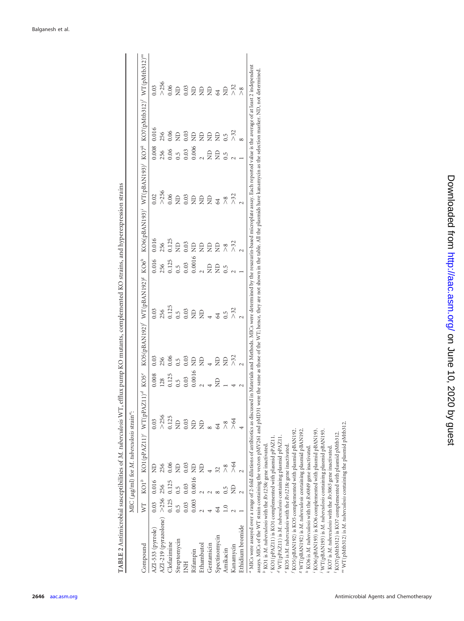|                                                                              |             |                     | MIC (µg/ml) for M. tuberculosis strain <sup>a</sup> : |               |         |                  |                  |                  |               |                    |               |               |                                                                                                                                                        |
|------------------------------------------------------------------------------|-------------|---------------------|-------------------------------------------------------|---------------|---------|------------------|------------------|------------------|---------------|--------------------|---------------|---------------|--------------------------------------------------------------------------------------------------------------------------------------------------------|
| mpound                                                                       |             |                     | WT $KOI^{\rho}$ $KOI(pPAZ11)^c$ $WT(pPAZ11)^d$        |               | $KOS^e$ | KOS(pBAN192)     | $WT(nBAN192)^g$  | KO6 <sup>h</sup> | KOS(nBAN193)' | WT(pBAN193)        | $KO7^k$       | KO7(pMtb312)' |                                                                                                                                                        |
| AZI-533 (pyrrole)                                                            | 0.03        | 0.016               | $\sum_{i=1}^{n}$                                      | 0.03          | 0.008   | 0.03             | 0.03             | 0.016            | 0.016         | 0.02               | 0.008         | 0.016         | 0.03                                                                                                                                                   |
| AZI-219 (pyrazolone) >256 256                                                |             |                     | 256                                                   | > 256         | 128     | 256              | 256              | 256              | 256           | >256               | 256           | 256           |                                                                                                                                                        |
| Clofazimine                                                                  | 0.125 0.125 |                     | 0.06                                                  | 0.125         | 0.125   | 0.06             | 0.125            | 0.125            | 0.125         | 0.06               | 0.06          | 0.06          |                                                                                                                                                        |
| Streptomycin                                                                 | $0.5\,$     | $\ddot{0}$          | $\overline{z}$                                        | $\Xi$         | 0.5     | $0.\overline{5}$ | 0.5              | 0.5              | $\Xi$         |                    | 0.5           | $\Xi$         |                                                                                                                                                        |
| E                                                                            | 0.03        | 0.03                | 0.03                                                  | 0.03          | 0.03    | 0.03             | 0.03             | 0.03             | 0.03          | $_{0.03}^{\rm 1D}$ | 0.03          | 0.03          |                                                                                                                                                        |
| dfampin                                                                      |             | $0.003$ $0.0016$ ND |                                                       | $\Xi$         | 0.0016  | $\Xi$            | $\Xi$            | 0.0016           | $\Xi$         | $\Xi$              | 0.006         | $\Xi$         |                                                                                                                                                        |
| Ethambutol                                                                   |             |                     | $\Xi$                                                 | $\Xi$         |         | $\Xi$            | $\Xi$            |                  | $\Xi$         | $\Xi$              |               | $\Xi$         |                                                                                                                                                        |
| Gentamicin                                                                   |             |                     |                                                       |               |         |                  |                  | $\frac{1}{2}$    | $\Xi$         | $\Xi$              | $\frac{1}{2}$ | $\Xi$         |                                                                                                                                                        |
| Spectinomycin                                                                |             |                     | 32                                                    | 64            |         | $\Xi$            | 64               | $\Xi$            | $\Xi$         | 64                 | $\Xi$         | $\Xi$         |                                                                                                                                                        |
| Amikacin                                                                     |             |                     | $\frac{8}{1}$                                         | $\frac{8}{2}$ |         | £                | $0.\overline{5}$ | 0.5              | $\frac{8}{2}$ | $\frac{8}{2}$      | $\ddot{0}$    | $\ddot{0}$    |                                                                                                                                                        |
| Kanamycin                                                                    |             |                     | >64                                                   | ≫             |         | $\approx$        | 73<br>2          |                  | 732           | 732                |               | >32           |                                                                                                                                                        |
| Ethidium bromide                                                             |             |                     |                                                       |               |         |                  |                  |                  |               |                    |               |               | $\frac{8}{2}$                                                                                                                                          |
| MICs were assayed over a range of 2-fold dilutions of antibiotics as discuss |             |                     |                                                       |               |         |                  |                  |                  |               |                    |               |               |                                                                                                                                                        |
|                                                                              |             |                     |                                                       |               |         |                  |                  |                  |               |                    |               |               | ed in Materials and Methods. MICs were determined by the resazurin-based microplate assay. Each reported value is the average of at least 2 independen |

| ĺ                    |
|----------------------|
|                      |
|                      |
|                      |
|                      |
|                      |
|                      |
|                      |
|                      |
|                      |
|                      |
|                      |
|                      |
|                      |
|                      |
|                      |
|                      |
|                      |
| $\ddot{\phantom{0}}$ |
|                      |
|                      |
|                      |
|                      |
|                      |
|                      |
|                      |
|                      |
|                      |
|                      |
| ļ                    |
|                      |
|                      |
|                      |
|                      |
|                      |
|                      |
|                      |
|                      |
|                      |
|                      |
|                      |
|                      |
|                      |
|                      |
|                      |
|                      |
|                      |
|                      |
|                      |
|                      |
|                      |
|                      |
|                      |
|                      |
|                      |
|                      |
|                      |
|                      |
|                      |
|                      |
|                      |
|                      |
|                      |
|                      |
| ł                    |
|                      |
| ׇ֚֘֝                 |

assays. MICs of the WT strain containing the vectors pMV261 and pMD31 were the same as those of the WT; hence, they are not shown in the table. All the plasmids have kanamycin as the selection marker. ND, not determined. assays. MICs of the WT strain containing the vectors pMV261 and pMD31 were the same as those of the WT; hence, they are not shown in the table. All the plasmids have kanamycin as the selection marker. ND, not determined.

KO5(pBAN192) is KO5 complemented with plasmid pBAN192. <sup>7</sup> WT(pBAN192) is M. tuberculosis containing plasmid pBAN192. KO6(pBAN193) is KO6 complemented with plasmid pBAN193. *f* KO5(pBAN192) is KO5 complemented with plasmid pBAN192. *g* WT(pBAN192) is *M. tuberculosis* containing plasmid pBAN192. KO6(pBAN193) is KO6 complemented with plasmid pBAN193. WT(pBAN193) is M. tuberculosis containing plasmid pBAN193. *j* WT(pBAN193) is *M. tuberculosis* containing plasmid pBAN193. <sup>d</sup> WT(pPAZ11) is M. tuberculosis containing plasmid pPAZ11. KO1(pPAZ11) is KO1 complemented with plasmid pPAZ11. WT(pPAZ11) is *M. tuberculosis* containing plasmid pPAZ11. *e* KO5 is M. tuberculosis with the Rv1218c gene inactivated. <sup>1</sup> KO6 is M. tuberculosis with the Rv0849 gene inactivated. KO1 is *M. tuberculosis* with the *Rv1258c* gene inactivated. **KO7** is M. tuberculosis with the Rv3065 gene inactivated. KO5 is *M. tuberculosis* with the *Rv1218c* gene inactivated. KO6 is *M. tuberculosis* with the *Rv0849* gene inactivated. KO7 is *M. tuberculosis* with the *Rv3065* gene inactivated. *lmbc*

 KO7(pMtb312) is KO7 complemented with plasmid pMtb312. WT(pMtb312) is *M. tuberculosis* containing the plasmid pMtb312.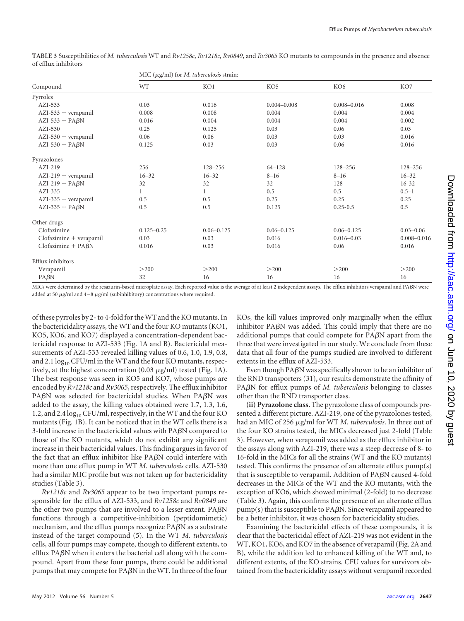|                           |                | MIC ( $\mu$ g/ml) for <i>M. tuberculosis</i> strain: |                 |                 |                 |
|---------------------------|----------------|------------------------------------------------------|-----------------|-----------------|-----------------|
| Compound                  | WT             | KO1                                                  | KO <sub>5</sub> | KO <sub>6</sub> | KO7             |
| Pyrroles                  |                |                                                      |                 |                 |                 |
| $AZI-533$                 | 0.03           | 0.016                                                | $0.004 - 0.008$ | $0.008 - 0.016$ | 0.008           |
| $AZI-533 + verapamil$     | 0.008          | 0.008                                                | 0.004           | 0.004           | 0.004           |
| $AZI-533 + PAGN$          | 0.016          | 0.004                                                | 0.004           | 0.004           | 0.002           |
| $AZI-530$                 | 0.25           | 0.125                                                | 0.03            | 0.06            | 0.03            |
| $AZI-530 + verapamil$     | 0.06           | 0.06                                                 | 0.03            | 0.03            | 0.016           |
| $AZI-530 + PAGN$          | 0.125          | 0.03                                                 | 0.03            | 0.06            | 0.016           |
| Pyrazolones               |                |                                                      |                 |                 |                 |
| $AZI-219$                 | 256            | 128-256                                              | $64 - 128$      | $128 - 256$     | 128-256         |
| $AZI-219 + verapamil$     | $16 - 32$      | $16 - 32$                                            | $8 - 16$        | $8 - 16$        | $16 - 32$       |
| $AZI-219 + PAGN$          | 32             | 32                                                   | 32              | 128             | $16 - 32$       |
| $AZI-335$                 | 1              | 1                                                    | 0.5             | 0.5             | $0.5 - 1$       |
| $AZI-335 + verapamil$     | 0.5            | 0.5                                                  | 0.25            | 0.25            | 0.25            |
| $AZI-335 + PAGN$          | 0.5            | 0.5                                                  | 0.125           | $0.25 - 0.5$    | 0.5             |
| Other drugs               |                |                                                      |                 |                 |                 |
| Clofazimine               | $0.125 - 0.25$ | $0.06 - 0.125$                                       | $0.06 - 0.125$  | $0.06 - 0.125$  | $0.03 - 0.06$   |
| Clofazimine + verapamil   | 0.03           | 0.03                                                 | 0.016           | $0.016 - 0.03$  | $0.008 - 0.016$ |
| Clofazimine + $PA\beta N$ | 0.016          | 0.03                                                 | 0.016           | 0.06            | 0.016           |
| Efflux inhibitors         |                |                                                      |                 |                 |                 |
| Verapamil                 | >200           | >200                                                 | >200            | >200            | >200            |
| $PA\beta N$               | 32             | 16                                                   | 16              | 16              | 16              |

<span id="page-4-0"></span>**TABLE 3** Susceptibilities of *M. tuberculosis* WT and *Rv1258c*, *Rv1218c*, *Rv0849*, and *Rv3065* KO mutants to compounds in the presence and absence of efflux inhibitors

MICs were determined by the resazurin-based microplate assay. Each reported value is the average of at least 2 independent assays. The efflux inhibitors verapamil and PAN were added at 50  $\mu$ g/ml and 4–8  $\mu$ g/ml (subinhibitory) concentrations where required.

of these pyrroles by 2- to 4-fold for the WT and the KO mutants. In the bactericidality assays, the WT and the four KO mutants (KO1, KO5, KO6, and KO7) displayed a concentration-dependent bactericidal response to AZI-533 [\(Fig. 1A](#page-5-0) and B). Bactericidal measurements of AZI-533 revealed killing values of 0.6, 1.0, 1.9, 0.8, and 2.1  $log_{10}$  CFU/ml in the WT and the four KO mutants, respectively, at the highest concentration  $(0.03 \ \mu\text{g/ml})$  tested [\(Fig. 1A](#page-5-0)). The best response was seen in KO5 and KO7, whose pumps are encoded by *Rv1218c* and *Rv3065*, respectively. The efflux inhibitor PA $\beta$ N was selected for bactericidal studies. When PA $\beta$ N was added to the assay, the killing values obtained were 1.7, 1.3, 1.6, 1.2, and 2.4  $log_{10}$  CFU/ml, respectively, in the WT and the four KO mutants [\(Fig. 1B](#page-5-0)). It can be noticed that in the WT cells there is a 3-fold increase in the bactericidal values with PABN compared to those of the KO mutants, which do not exhibit any significant increase in their bactericidal values. This finding argues in favor of the fact that an efflux inhibitor like PA $\beta$ N could interfere with more than one efflux pump in WT *M. tuberculosis* cells. AZI-530 had a similar MIC profile but was not taken up for bactericidality studies [\(Table 3\)](#page-4-0).

*Rv1218c* and *Rv3065* appear to be two important pumps responsible for the efflux of AZI-533, and *Rv1258c* and *Rv0849* are the other two pumps that are involved to a lesser extent.  $PA\beta N$ functions through a competitive-inhibition (peptidomimetic) mechanism, and the efflux pumps recognize  $PA\beta N$  as a substrate instead of the target compound [\(5\)](#page-7-21). In the WT *M. tuberculosis* cells, all four pumps may compete, though to different extents, to efflux PA $\beta$ N when it enters the bacterial cell along with the compound. Apart from these four pumps, there could be additional pumps that may compete for PAN in the WT. In three of the four

KOs, the kill values improved only marginally when the efflux inhibitor PA $\beta$ N was added. This could imply that there are no additional pumps that could compete for PABN apart from the three that were investigated in our study. We conclude from these data that all four of the pumps studied are involved to different extents in the efflux of AZI-533.

Even though PA $\beta$ N was specifically shown to be an inhibitor of the RND transporters [\(31\)](#page-7-22), our results demonstrate the affinity of PA<sub>B</sub>N for efflux pumps of *M. tuberculosis* belonging to classes other than the RND transporter class.

**(ii) Pyrazolone class.** The pyrazolone class of compounds presented a different picture. AZI-219, one of the pyrazolones tested, had an MIC of 256 µg/ml for WT *M. tuberculosis*. In three out of the four KO strains tested, the MICs decreased just 2-fold [\(Table](#page-4-0) [3\). However, when verapamil was added as the efflux inhibitor in](#page-4-0) [the assays along with AZI-219, there was a steep decrease of 8- to](#page-4-0) [16-fold in the MICs for all the strains \(WT and the KO mutants\)](#page-4-0) [tested. This confirms the presence of an alternate efflux pump\(s\)](#page-4-0) [that is susceptible to verapamil. Addition of PA](#page-4-0)BN caused 4-fold [decreases in the MICs of the WT and the KO mutants, with the](#page-4-0) [exception of KO6, which showed minimal \(2-fold\) to no decrease](#page-4-0) [\(Table 3\)](#page-4-0). Again, this confirms the presence of an alternate efflux  $pump(s)$  that is susceptible to PA $\beta$ N. Since verapamil appeared to be a better inhibitor, it was chosen for bactericidality studies.

Examining the bactericidal effects of these compounds, it is clear that the bactericidal effect of AZI-219 was not evident in the WT, KO1, KO6, and KO7 in the absence of verapamil [\(Fig. 2A](#page-6-0) and B), while the addition led to enhanced killing of the WT and, to different extents, of the KO strains. CFU values for survivors obtained from the bactericidality assays without verapamil recorded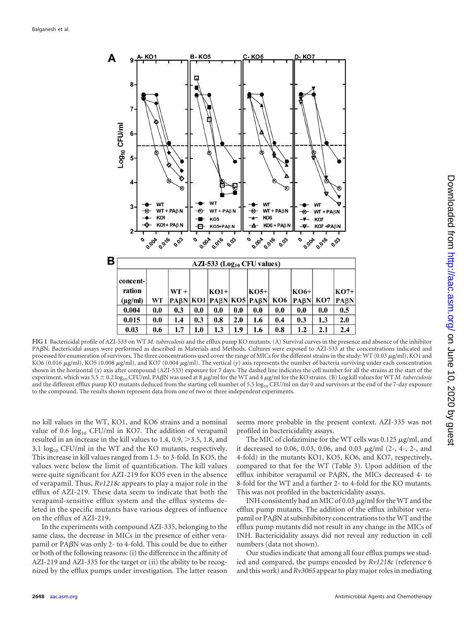

<span id="page-5-0"></span>**FIG 1** Bactericidal profile of AZI-533 on WT *M. tuberculosis* and the efflux pump KO mutants. (A) Survival curves in the presence and absence of the inhibitor PAßN. Bactericidal assays were performed as described in Materials and Methods. Cultures were exposed to AZI-533 at the concentrations indicated and processed for enumeration of survivors. The three concentrations used cover the range of MICs for the different strains in the study: WT (0.03  $\mu$ g/ml), KO1 and KO6 (0.016 µg/ml), KO5 (0.008 µg/ml), and KO7 (0.004 µg/ml). The vertical (y) axis represents the number of bacteria surviving under each concentration shown in the horizontal (*x*) axis after compound (AZI-533) exposure for 7 days. The dashed line indicates the cell number for all the strains at the start of the  $\alpha$  experiment, which was 5.5  $\pm$  0.2  $\log_{10}$  CFU/ml. PA $\beta$ N was used at 8  $\mu$ g/ml for the WT and 4  $\mu$ g/ml for the KO strains. (B) Log kill values for WT *M. tuberculosis* and the different efflux pump KO mutants deduced from the starting cell number of 5.5  $log_{10}$  CFU/ml on day 0 and survivors at the end of the 7-day exposure to the compound. The results shown represent data from one of two or three independent experiments.

no kill values in the WT, KO1, and KO6 strains and a nominal value of 0.6  $log_{10}$  CFU/ml in KO7. The addition of verapamil resulted in an increase in the kill values to 1.4, 0.9, 3.5, 1.8, and 3.1  $log_{10}$  CFU/ml in the WT and the KO mutants, respectively. This increase in kill values ranged from 1.5- to 3-fold. In KO5, the values were below the limit of quantification. The kill values were quite significant for AZI-219 for KO5 even in the absence of verapamil. Thus, *Rv1218c* appears to play a major role in the efflux of AZI-219. These data seem to indicate that both the verapamil-sensitive efflux system and the efflux systems deleted in the specific mutants have various degrees of influence on the efflux of AZI-219.

In the experiments with compound AZI-335, belonging to the same class, the decrease in MICs in the presence of either verapamil or PA $\beta$ N was only 2- to 4-fold. This could be due to either or both of the following reasons: (i) the difference in the affinity of AZI-219 and AZI-335 for the target or (ii) the ability to be recognized by the efflux pumps under investigation. The latter reason

seems more probable in the present context. AZI-335 was not profiled in bactericidality assays.

The MIC of clofazimine for the WT cells was  $0.125 \mu g/ml$ , and it decreased to 0.06, 0.03, 0.06, and 0.03  $\mu$ g/ml (2-, 4-, 2-, and 4-fold) in the mutants KO1, KO5, KO6, and KO7, respectively, compared to that for the WT [\(Table 3\)](#page-4-0). Upon addition of the efflux inhibitor verapamil or PA $\beta$ N, the MICs decreased 4- to 8-fold for the WT and a further 2- to 4-fold for the KO mutants. This was not profiled in the bactericidality assays.

INH consistently had an MIC of 0.03  $\mu$ g/ml for the WT and the efflux pump mutants. The addition of the efflux inhibitor verapamil or PA $\beta$ N at subinhibitory concentrations to the WT and the efflux pump mutants did not result in any change in the MICs of INH. Bactericidality assays did not reveal any reduction in cell numbers (data not shown).

Our studies indicate that among all four efflux pumps we studied and compared, the pumps encoded by *Rv1218c* (reference [6](#page-7-10) and this work) and *Rv3065* appear to play major roles in mediating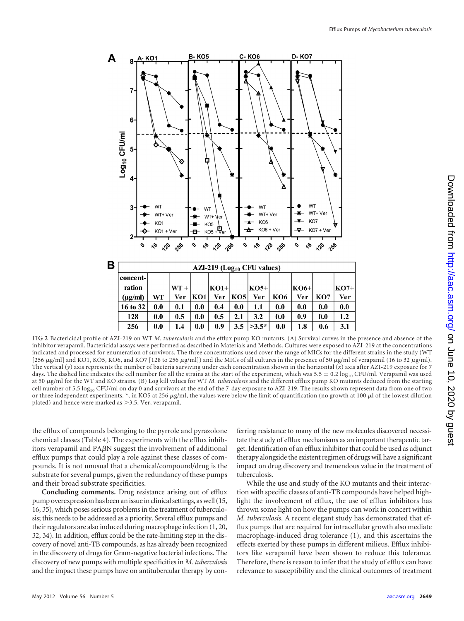

<span id="page-6-0"></span>**FIG 2** Bactericidal profile of AZI-219 on WT *M. tuberculosis* and the efflux pump KO mutants. (A) Survival curves in the presence and absence of the inhibitor verapamil. Bactericidal assays were performed as described in Materials and Methods. Cultures were exposed to AZI-219 at the concentrations indicated and processed for enumeration of survivors. The three concentrations used cover the range of MICs for the different strains in the study (WT [256  $\mu$ g/ml] and KO1, KO5, KO6, and KO7 [128 to 256  $\mu$ g/ml]) and the MICs of all cultures in the presence of 50  $\mu$ g/ml of verapamil (16 to 32  $\mu$ g/ml). The vertical (*y*) axis represents the number of bacteria surviving under each concentration shown in the horizontal (*x*) axis after AZI-219 exposure for 7 days. The dashed line indicates the cell number for all the strains at the start of the experiment, which was  $5.5 \pm 0.2 \log_{10}$  CFU/ml. Verapamil was used at 50 µg/ml for the WT and KO strains. (B) Log kill values for WT *M. tuberculosis* and the different efflux pump KO mutants deduced from the starting cell number of 5.5 log<sub>10</sub> CFU/ml on day 0 and survivors at the end of the 7-day exposure to AZI-219. The results shown represent data from one of two or three independent experiments. \*, in KO5 at 256  $\mu$ g/ml, the values were below the limit of quantification (no growth at 100  $\mu$ l of the lowest dilution plated) and hence were marked as  $>$  3.5. Ver, verapamil.

the efflux of compounds belonging to the pyrrole and pyrazolone chemical classes [\(Table 4\)](#page-7-23). The experiments with the efflux inhibitors verapamil and  $P_A\beta N$  suggest the involvement of additional efflux pumps that could play a role against these classes of compounds. It is not unusual that a chemical/compound/drug is the substrate for several pumps, given the redundancy of these pumps and their broad substrate specificities.

**Concluding comments.** Drug resistance arising out of efflux pump overexpression has been an issue in clinical settings, as well [\(15,](#page-7-18) [16,](#page-7-24) [35\)](#page-8-1), which poses serious problems in the treatment of tuberculosis; this needs to be addressed as a priority. Several efflux pumps and their regulators are also induced during macrophage infection [\(1,](#page-7-25) [20,](#page-7-26) [32,](#page-7-27) [34\)](#page-8-4). In addition, efflux could be the rate-limiting step in the discovery of novel anti-TB compounds, as has already been recognized in the discovery of drugs for Gram-negative bacterial infections. The discovery of new pumps with multiple specificities in *M. tuberculosis* and the impact these pumps have on antitubercular therapy by conferring resistance to many of the new molecules discovered necessitate the study of efflux mechanisms as an important therapeutic target. Identification of an efflux inhibitor that could be used as adjunct therapy alongside the existent regimen of drugs will have a significant impact on drug discovery and tremendous value in the treatment of tuberculosis.

While the use and study of the KO mutants and their interaction with specific classes of anti-TB compounds have helped highlight the involvement of efflux, the use of efflux inhibitors has thrown some light on how the pumps can work in concert within *M. tuberculosis*. A recent elegant study has demonstrated that efflux pumps that are required for intracellular growth also mediate macrophage-induced drug tolerance [\(1\)](#page-7-25), and this ascertains the effects exerted by these pumps in different milieus. Efflux inhibitors like verapamil have been shown to reduce this tolerance. Therefore, there is reason to infer that the study of efflux can have relevance to susceptibility and the clinical outcomes of treatment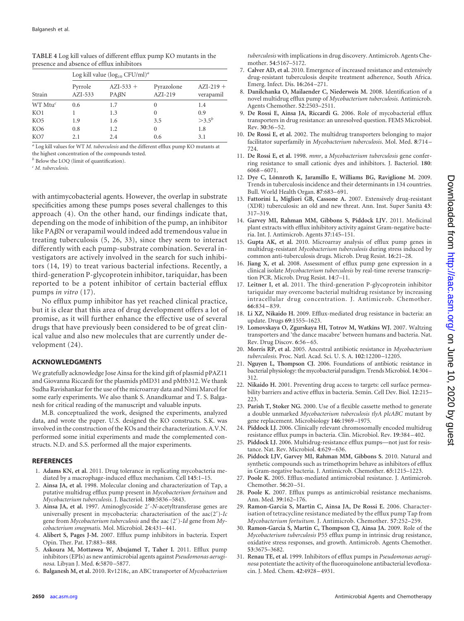|                 | Log kill value $(\log_{10} CFU/ml)^a$ |                     |                         |                          |  |  |  |
|-----------------|---------------------------------------|---------------------|-------------------------|--------------------------|--|--|--|
| Strain          | Pyrrole<br>$AZI-533$                  | $AZI-533 +$<br>PABN | Pyrazolone<br>$AZI-219$ | $AZI-219 +$<br>verapamil |  |  |  |
| $WT Mtu^c$      | 0.6                                   | 1.7                 | $\theta$                | 1.4                      |  |  |  |
| KO1             |                                       | 1.3                 | $\Omega$                | 0.9                      |  |  |  |
| KO <sub>5</sub> | 1.9                                   | 1.6                 | 3.5                     | $>3.5^b$                 |  |  |  |
| KO <sub>6</sub> | 0.8                                   | 1.2                 | 0                       | 1.8                      |  |  |  |
| KO7             | 2.1                                   | 2.4                 | 0.6                     | 3.1                      |  |  |  |

<span id="page-7-27"></span><span id="page-7-23"></span>**TABLE 4** Log kill values of different efflux pump KO mutants in the presence and absence of efflux inhibitors

*<sup>a</sup>* Log kill values for WT *M. tuberculosis* and the different efflux pump KO mutants at the highest concentration of the compounds tested.

*<sup>b</sup>* Below the LOQ (limit of quantification).

*<sup>c</sup> M. tuberculosis*.

with antimycobacterial agents. However, the overlap in substrate specificities among these pumps poses several challenges to this approach [\(4\)](#page-7-28). On the other hand, our findings indicate that, depending on the mode of inhibition of the pump, an inhibitor like PABN or verapamil would indeed add tremendous value in treating tuberculosis [\(5,](#page-7-21) [26,](#page-7-29) [33\)](#page-8-2), since they seem to interact differently with each pump-substrate combination. Several investigators are actively involved in the search for such inhibitors [\(14,](#page-7-30) [19\)](#page-7-31) to treat various bacterial infections. Recently, a third-generation P-glycoprotein inhibitor, tariquidar, has been reported to be a potent inhibitor of certain bacterial efflux pumps *in vitro* [\(17\)](#page-7-32).

No efflux pump inhibitor has yet reached clinical practice, but it is clear that this area of drug development offers a lot of promise, as it will further enhance the effective use of several drugs that have previously been considered to be of great clinical value and also new molecules that are currently under development [\(24\)](#page-7-15).

## **ACKNOWLEDGMENTS**

We gratefully acknowledge Jose Ainsa for the kind gift of plasmid pPAZ11 and Giovanna Riccardi for the plasmids pMD31 and pMtb312. We thank Sudha Ravishankar for the use of the microarray data and Nimi Marcel for some early experiments. We also thank S. Anandkumar and T. S. Balganesh for critical reading of the manuscript and valuable inputs.

M.B. conceptualized the work, designed the experiments, analyzed data, and wrote the paper. U.S. designed the KO constructs. S.K. was involved in the construction of the KOs and their characterization. A.V.N. performed some initial experiments and made the complemented constructs. N.D. and S.S. performed all the major experiments.

### <span id="page-7-25"></span>**REFERENCES**

- 1. **Adams KN, et al.** 2011. Drug tolerance in replicating mycobacteria mediated by a macrophage-induced efflux mechanism. Cell **145**:1–15.
- <span id="page-7-9"></span>2. **Ainsa JA, et al.** 1998. Molecular cloning and characterization of Tap, a putative multidrug efflux pump present in *Mycobacterium fortuitum* and *Mycobacterium tuberculosis.* J. Bacteriol. **180**:5836 –5843.
- <span id="page-7-8"></span>3. Ainsa JA, et al. 1997. Aminoglycoside 2'-*N*-acetyltransferase genes are universally present in mycobacteria: characterisation of the  $aac(2')$ -*Ic* gene from *Mycobacterium tuberculosis* and the aac (2')-*Id* gene from *Mycobacterium smegmatis.* Mol. Microbiol. **24**:431– 441.
- <span id="page-7-28"></span>4. **Alibert S, Pages J-M.** 2007. Efflux pump inhibitors in bacteria. Expert Opin. Ther. Pat. **17**:883– 888.
- <span id="page-7-21"></span>5. **Askoura M, Mottawea W, Abujamel T, Taher I.** 2011. Efflux pump inhibitors (EPIs) as new antimicrobial agents against *Pseudomonas aeruginosa.* Libyan J. Med. **6**:5870 –5877.
- <span id="page-7-10"></span>6. **Balganesh M, et al.** 2010. Rv1218c, an ABC transporter of *Mycobacterium*

*tuberculosis* with implications in drug discovery. Antimicrob. Agents Chemother. **54**:5167–5172.

- <span id="page-7-1"></span>7. **Calver AD, et al.** 2010. Emergence of increased resistance and extensively drug-resistant tuberculosis despite treatment adherence, South Africa. Emerg. Infect. Dis. **16**:264 –271.
- <span id="page-7-11"></span>8. **Danilchanka O, Mailaender C, Niederweis M.** 2008. Identification of a novel multidrug efflux pump of *Mycobacterium tuberculosis.* Antimicrob. Agents Chemother. **52**:2503–2511.
- <span id="page-7-6"></span>9. **De Rossi E, Ainsa JA, Riccardi G.** 2006. Role of mycobacterial efflux transporters in drug resistance: an unresolved question. FEMS Microbiol. Rev. **30**:36 –52.
- <span id="page-7-7"></span>10. **De Rossi E, et al.** 2002. The multidrug transporters belonging to major facilitator superfamily in *Mycobacterium tuberculosis*. Mol. Med. **8**:714 – 724.
- <span id="page-7-12"></span>11. **De Rossi E, et al.** 1998. *mmr*, a *Mycobacterium tuberculosis* gene conferring resistance to small cationic dyes and inhibitors. J. Bacteriol. **180**: 6068 – 6071.
- <span id="page-7-0"></span>12. **Dye C, Lönnroth K, Jaramillo E, Williams BG, Raviglione M.** 2009. Trends in tuberculosis incidence and their determinants in 134 countries. Bull. World Health Organ. **87**:683– 691.
- <span id="page-7-2"></span>13. **Fattorini L, Migliori GB, Cassone A.** 2007. Extensively drug-resistant (XDR) tuberculosis: an old and new threat. Ann. Inst. Super Sanita` **43**: 317–319.
- <span id="page-7-30"></span>14. **Garvey MI, Rahman MM, Gibbons S, Piddock LJV.** 2011. Medicinal plant extracts with efflux inhibitory activity against Gram-negative bacteria. Int. J. Antimicrob. Agents **37**:145–151.
- <span id="page-7-18"></span>15. **Gupta AK, et al.** 2010. Microarray analysis of efflux pump genes in multidrug-resistant *Mycobacterium tuberculosis* during stress induced by common anti-tuberculosis drugs. Microb. Drug Resist. **16**:21–28.
- <span id="page-7-24"></span>16. **Jiang X, et al.** 2008. Assessment of efflux pump gene expression in a clinical isolate *Mycobacterium tuberculosis* by real-time reverse transcription PCR. Microb. Drug Resist. **14**:7–11.
- <span id="page-7-32"></span>17. **Leitner I, et al.** 2011. The third-generation P-glycoprotein inhibitor tariquidar may overcome bacterial multidrug resistance by increasing intracellular drug concentration. J. Antimicrob. Chemother. **66**:834 – 839.
- <span id="page-7-4"></span>18. **Li XZ, Nikaido H.** 2009. Efflux-mediated drug resistance in bacteria: an update. Drugs **69**:1555–1623.
- <span id="page-7-31"></span>19. **Lomovskaya O, Zgurskaya HI, Totrov M, Watkins WJ.** 2007. Waltzing transporters and 'the dance macabre' between humans and bacteria. Nat. Rev. Drug Discov. **6**:56 – 65.
- <span id="page-7-26"></span>20. **Morris RP, et al.** 2005. Ancestral antibiotic resistance in *Mycobacterium tuberculosis.* Proc. Natl. Acad. Sci. U. S. A. **102**:12200 –12205.
- <span id="page-7-3"></span>21. **Nguyen L, Thompson CJ.** 2006. Foundations of antibiotic resistance in bacterial physiology: the mycobacterial paradigm. Trends Microbiol. **14**:304– 312.
- <span id="page-7-5"></span>22. **Nikaido H.** 2001. Preventing drug access to targets: cell surface permeability barriers and active efflux in bacteria. Semin. Cell Dev. Biol. **12**:215– 223.
- <span id="page-7-17"></span>23. **Parish T, Stoker NG.** 2000. Use of a flexible cassette method to generate a double unmarked *Mycobacterium tuberculosis tlyA plcABC* mutant by gene replacement. Microbiology **146**:1969 –1975.
- <span id="page-7-15"></span>24. **Piddock LJ.** 2006. Clinically relevant chromosomally encoded multidrug resistance efflux pumps in bacteria. Clin. Microbiol. Rev. **19**:384 – 402.
- <span id="page-7-20"></span>25. **Piddock LJ.** 2006. Multidrug-resistance efflux pumps—not just for resistance. Nat. Rev. Microbiol. **4**:629 – 636.
- <span id="page-7-29"></span>26. **Piddock LJV, Garvey MI, Rahman MM, Gibbons S.** 2010. Natural and synthetic compounds such as trimethoprim behave as inhibitors of efflux in Gram-negative bacteria. J. Antimicrob. Chemother. **65**:1215–1223.
- <span id="page-7-16"></span>27. **Poole K.** 2005. Efflux-mediated antimicrobial resistance. J. Antimicrob. Chemother. **56**:20 –51.
- <span id="page-7-19"></span>28. **Poole K.** 2007. Efflux pumps as antimicrobial resistance mechanisms. Ann. Med. **39**:162–176.
- <span id="page-7-13"></span>29. **Ramon-Garcia S, Martin C, Ainsa JA, De Rossi E.** 2006. Characterisation of tetracycline resistance mediated by the efflux pump Tap from *Mycobacterium fortuitum.* J. Antimicrob. Chemother. **57**:252–259.
- <span id="page-7-14"></span>30. **Ramon-Garcia S, Martin C, Thompson CJ, Ainsa JA.** 2009. Role of the *Mycobacterium tuberculosis* P55 efflux pump in intrinsic drug resistance, oxidative stress responses, and growth. Antimicrob. Agents Chemother. **53**:3675–3682.
- <span id="page-7-22"></span>31. **Renau TE, et al.** 1999. Inhibitors of efflux pumps in *Pseudomonas aeruginosa* potentiate the activity of the fluoroquinolone antibacterial levofloxacin. J. Med. Chem. **42**:4928 – 4931.